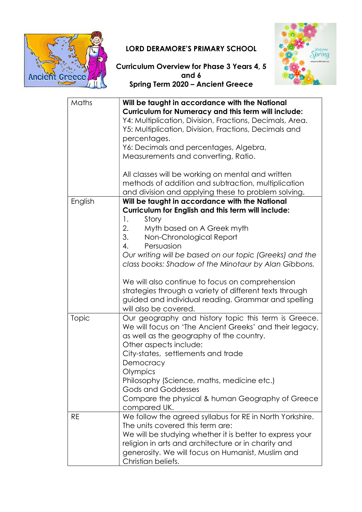

## LORD DERAMORE'S PRIMARY SCHOOL



Curriculum Overview for Phase 3 Years 4, 5 and 6 Spring Term 2020 – Ancient Greece

| Maths     | Will be taught in accordance with the National<br><b>Curriculum for Numeracy and this term will include:</b><br>Y4: Multiplication, Division, Fractions, Decimals, Area.<br>Y5: Multiplication, Division, Fractions, Decimals and<br>percentages.<br>Y6: Decimals and percentages, Algebra,<br>Measurements and converting, Ratio.<br>All classes will be working on mental and written<br>methods of addition and subtraction, multiplication<br>and division and applying these to problem solving. |
|-----------|-------------------------------------------------------------------------------------------------------------------------------------------------------------------------------------------------------------------------------------------------------------------------------------------------------------------------------------------------------------------------------------------------------------------------------------------------------------------------------------------------------|
| English   | Will be taught in accordance with the National                                                                                                                                                                                                                                                                                                                                                                                                                                                        |
|           | Curriculum for English and this term will include:                                                                                                                                                                                                                                                                                                                                                                                                                                                    |
|           | $\mathbf{1}$ .<br>Story                                                                                                                                                                                                                                                                                                                                                                                                                                                                               |
|           | 2.<br>Myth based on A Greek myth                                                                                                                                                                                                                                                                                                                                                                                                                                                                      |
|           | 3.<br>Non-Chronological Report<br>4.                                                                                                                                                                                                                                                                                                                                                                                                                                                                  |
|           | Persuasion<br>Our writing will be based on our topic (Greeks) and the                                                                                                                                                                                                                                                                                                                                                                                                                                 |
|           | class books: Shadow of the Minotaur by Alan Gibbons.                                                                                                                                                                                                                                                                                                                                                                                                                                                  |
|           | We will also continue to focus on comprehension<br>strategies through a variety of different texts through<br>guided and individual reading. Grammar and spelling<br>will also be covered.                                                                                                                                                                                                                                                                                                            |
| Topic     | Our geography and history topic this term is Greece.<br>We will focus on 'The Ancient Greeks' and their legacy,<br>as well as the geography of the country.<br>Other aspects include:                                                                                                                                                                                                                                                                                                                 |
|           | City-states, settlements and trade                                                                                                                                                                                                                                                                                                                                                                                                                                                                    |
|           | Democracy<br>Olympics                                                                                                                                                                                                                                                                                                                                                                                                                                                                                 |
|           | Philosophy (Science, maths, medicine etc.)                                                                                                                                                                                                                                                                                                                                                                                                                                                            |
|           | <b>Gods and Goddesses</b>                                                                                                                                                                                                                                                                                                                                                                                                                                                                             |
|           | Compare the physical & human Geography of Greece<br>compared UK.                                                                                                                                                                                                                                                                                                                                                                                                                                      |
| <b>RE</b> | We follow the agreed syllabus for RE in North Yorkshire.                                                                                                                                                                                                                                                                                                                                                                                                                                              |
|           | The units covered this term are:                                                                                                                                                                                                                                                                                                                                                                                                                                                                      |
|           | We will be studying whether it is better to express your<br>religion in arts and architecture or in charity and                                                                                                                                                                                                                                                                                                                                                                                       |
|           | generosity. We will focus on Humanist, Muslim and                                                                                                                                                                                                                                                                                                                                                                                                                                                     |
|           | Christian beliefs.                                                                                                                                                                                                                                                                                                                                                                                                                                                                                    |